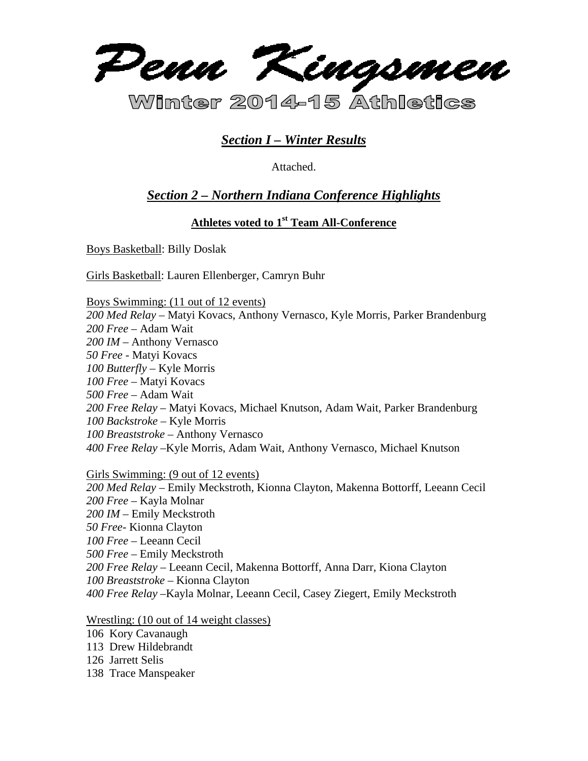

# *Section I – Winter Results*

Attached.

# *Section 2 – Northern Indiana Conference Highlights*

# **Athletes voted to 1st Team All-Conference**

Boys Basketball: Billy Doslak

Girls Basketball: Lauren Ellenberger, Camryn Buhr

Boys Swimming: (11 out of 12 events) *200 Med Relay* – Matyi Kovacs, Anthony Vernasco, Kyle Morris, Parker Brandenburg *200 Free* – Adam Wait *200 IM* – Anthony Vernasco *50 Free* - Matyi Kovacs *100 Butterfly –* Kyle Morris *100 Free* – Matyi Kovacs *500 Free –* Adam Wait *200 Free Relay* – Matyi Kovacs, Michael Knutson, Adam Wait, Parker Brandenburg *100 Backstroke* – Kyle Morris *100 Breaststroke* – Anthony Vernasco *400 Free Relay* –Kyle Morris, Adam Wait, Anthony Vernasco, Michael Knutson

Girls Swimming: (9 out of 12 events)

*200 Med Relay* – Emily Meckstroth, Kionna Clayton, Makenna Bottorff, Leeann Cecil *200 Free* – Kayla Molnar *200 IM* – Emily Meckstroth *50 Free*- Kionna Clayton *100 Free* – Leeann Cecil *500 Free* – Emily Meckstroth *200 Free Relay* – Leeann Cecil, Makenna Bottorff, Anna Darr, Kiona Clayton *100 Breaststroke* – Kionna Clayton *400 Free Relay* –Kayla Molnar, Leeann Cecil, Casey Ziegert, Emily Meckstroth

Wrestling: (10 out of 14 weight classes)

- 106 Kory Cavanaugh
- 113 Drew Hildebrandt
- 126 Jarrett Selis
- 138 Trace Manspeaker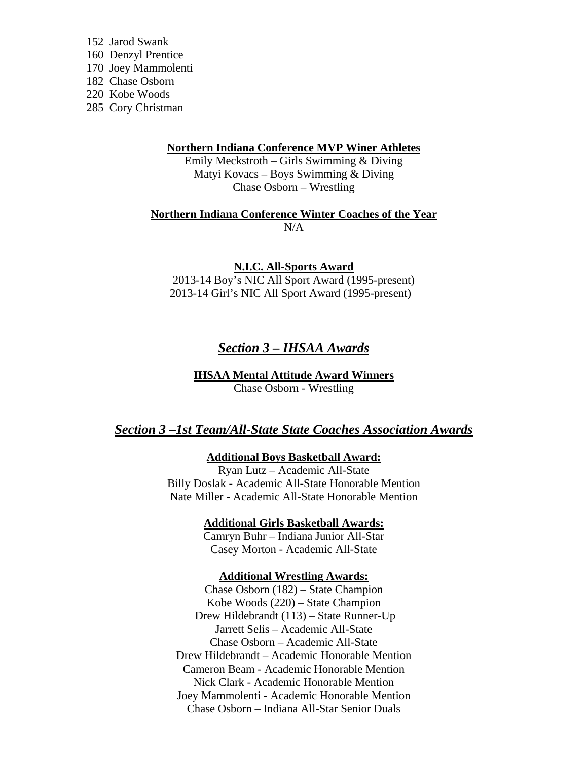152 Jarod Swank 160 Denzyl Prentice 170 Joey Mammolenti 182 Chase Osborn 220 Kobe Woods 285 Cory Christman

#### **Northern Indiana Conference MVP Winer Athletes**

Emily Meckstroth – Girls Swimming & Diving Matyi Kovacs – Boys Swimming & Diving Chase Osborn – Wrestling

**Northern Indiana Conference Winter Coaches of the Year**   $N/A$ 

**N.I.C. All-Sports Award** 

2013-14 Boy's NIC All Sport Award (1995-present) 2013-14 Girl's NIC All Sport Award (1995-present)

# *Section 3 – IHSAA Awards*

**IHSAA Mental Attitude Award Winners**  Chase Osborn - Wrestling

## *Section 3 –1st Team/All-State State Coaches Association Awards*

### **Additional Boys Basketball Award:**

Ryan Lutz – Academic All-State Billy Doslak - Academic All-State Honorable Mention Nate Miller - Academic All-State Honorable Mention

**Additional Girls Basketball Awards:** 

Camryn Buhr – Indiana Junior All-Star Casey Morton - Academic All-State

#### **Additional Wrestling Awards:**

Chase Osborn (182) – State Champion Kobe Woods (220) – State Champion Drew Hildebrandt (113) – State Runner-Up Jarrett Selis – Academic All-State Chase Osborn – Academic All-State Drew Hildebrandt – Academic Honorable Mention Cameron Beam - Academic Honorable Mention Nick Clark - Academic Honorable Mention Joey Mammolenti - Academic Honorable Mention Chase Osborn – Indiana All-Star Senior Duals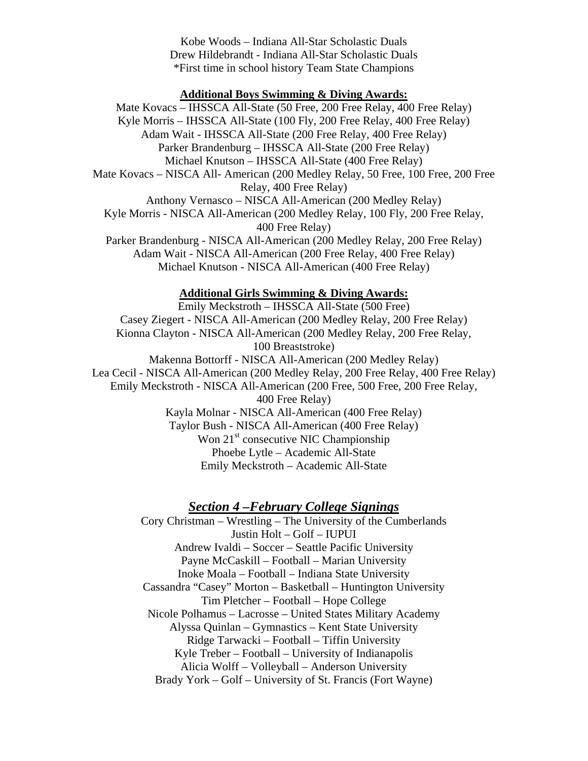Kobe Woods – Indiana All-Star Scholastic Duals Drew Hildebrandt - Indiana All-Star Scholastic Duals \*First time in school history Team State Champions

## **Additional Boys Swimming & Diving Awards:**

Mate Kovacs – IHSSCA All-State (50 Free, 200 Free Relay, 400 Free Relay) Kyle Morris – IHSSCA All-State (100 Fly, 200 Free Relay, 400 Free Relay) Adam Wait - IHSSCA All-State (200 Free Relay, 400 Free Relay) Parker Brandenburg – IHSSCA All-State (200 Free Relay) Michael Knutson – IHSSCA All-State (400 Free Relay) Mate Kovacs – NISCA All- American (200 Medley Relay, 50 Free, 100 Free, 200 Free Relay, 400 Free Relay) Anthony Vernasco – NISCA All-American (200 Medley Relay) Kyle Morris - NISCA All-American (200 Medley Relay, 100 Fly, 200 Free Relay, 400 Free Relay) Parker Brandenburg - NISCA All-American (200 Medley Relay, 200 Free Relay) Adam Wait - NISCA All-American (200 Free Relay, 400 Free Relay) Michael Knutson - NISCA All-American (400 Free Relay)

#### **Additional Girls Swimming & Diving Awards:**

Emily Meckstroth – IHSSCA All-State (500 Free) Casey Ziegert - NISCA All-American (200 Medley Relay, 200 Free Relay) Kionna Clayton - NISCA All-American (200 Medley Relay, 200 Free Relay, 100 Breaststroke) Makenna Bottorff - NISCA All-American (200 Medley Relay) Lea Cecil - NISCA All-American (200 Medley Relay, 200 Free Relay, 400 Free Relay) Emily Meckstroth - NISCA All-American (200 Free, 500 Free, 200 Free Relay, 400 Free Relay) Kayla Molnar - NISCA All-American (400 Free Relay) Taylor Bush - NISCA All-American (400 Free Relay) Won  $21<sup>st</sup>$  consecutive NIC Championship Phoebe Lytle – Academic All-State Emily Meckstroth – Academic All-State

## *Section 4 –February College Signings*

Cory Christman – Wrestling – The University of the Cumberlands Justin Holt – Golf – IUPUI Andrew Ivaldi – Soccer – Seattle Pacific University Payne McCaskill – Football – Marian University Inoke Moala – Football – Indiana State University Cassandra "Casey" Morton – Basketball – Huntington University Tim Pletcher – Football – Hope College Nicole Polhamus – Lacrosse – United States Military Academy Alyssa Quinlan – Gymnastics – Kent State University Ridge Tarwacki – Football – Tiffin University Kyle Treber – Football – University of Indianapolis Alicia Wolff – Volleyball – Anderson University Brady York – Golf – University of St. Francis (Fort Wayne)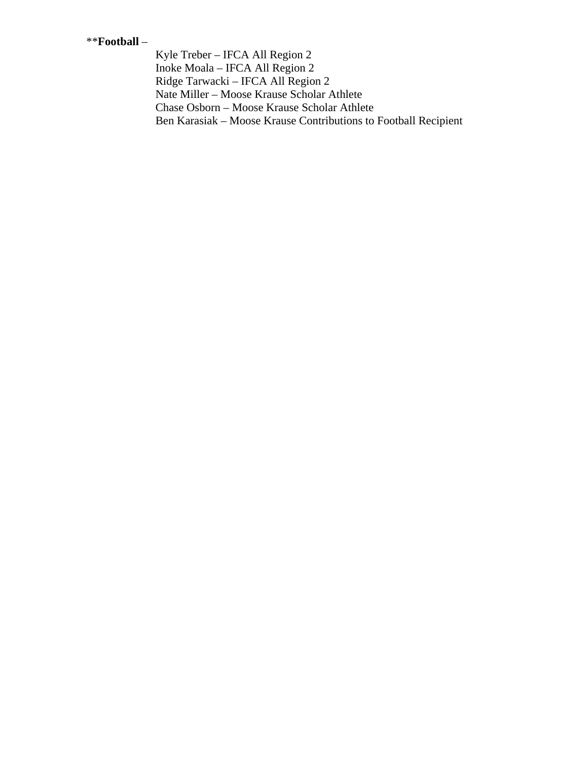## \*\***Football** –

 Kyle Treber – IFCA All Region 2 Inoke Moala – IFCA All Region 2 Ridge Tarwacki – IFCA All Region 2 Nate Miller – Moose Krause Scholar Athlete Chase Osborn – Moose Krause Scholar Athlete Ben Karasiak – Moose Krause Contributions to Football Recipient